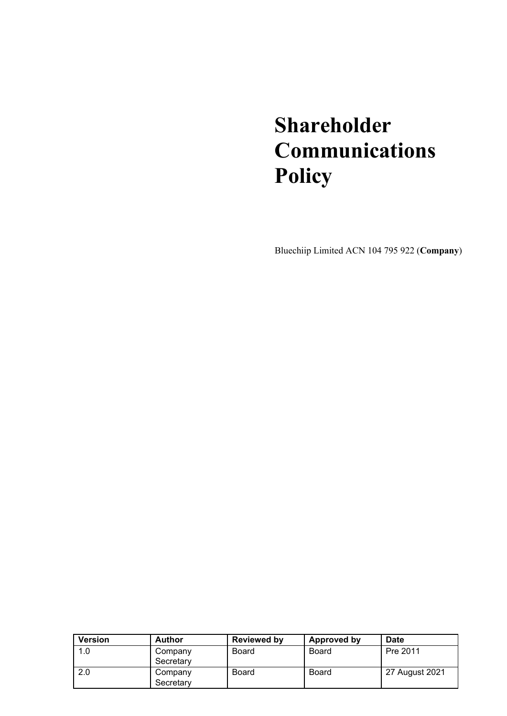# **Shareholder Communications Policy**

Bluechiip Limited ACN 104 795 922 (**Company**)

| <b>Version</b> | <b>Author</b> | <b>Reviewed by</b> | Approved by  | Date           |
|----------------|---------------|--------------------|--------------|----------------|
| 1.0            | Company       | Board              | Board        | Pre 2011       |
|                | Secretary     |                    |              |                |
| 2.0            | Company       | <b>Board</b>       | <b>Board</b> | 27 August 2021 |
|                | Secretary     |                    |              |                |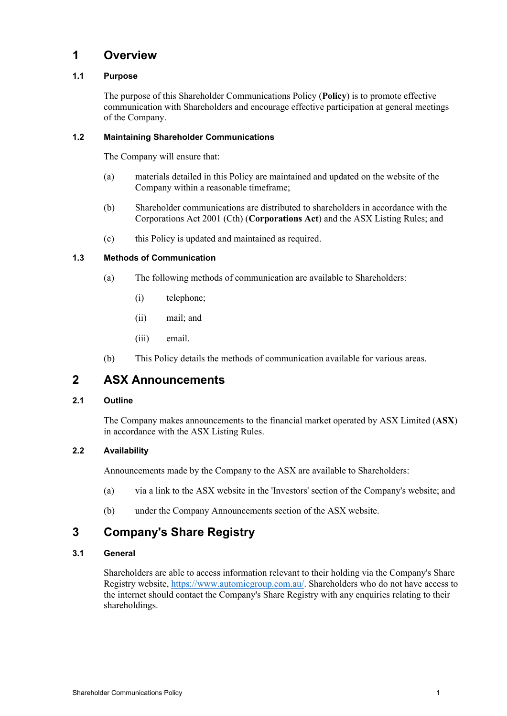### **1 Overview**

### **1.1 Purpose**

The purpose of this Shareholder Communications Policy (**Policy**) is to promote effective communication with Shareholders and encourage effective participation at general meetings of the Company.

### **1.2 Maintaining Shareholder Communications**

The Company will ensure that:

- (a) materials detailed in this Policy are maintained and updated on the website of the Company within a reasonable timeframe;
- (b) Shareholder communications are distributed to shareholders in accordance with the Corporations Act 2001 (Cth) (**Corporations Act**) and the ASX Listing Rules; and
- (c) this Policy is updated and maintained as required.

### **1.3 Methods of Communication**

- (a) The following methods of communication are available to Shareholders:
	- (i) telephone;
	- (ii) mail; and
	- (iii) email.
- (b) This Policy details the methods of communication available for various areas.

# **2 ASX Announcements**

### **2.1 Outline**

The Company makes announcements to the financial market operated by ASX Limited (**ASX**) in accordance with the ASX Listing Rules.

### **2.2 Availability**

Announcements made by the Company to the ASX are available to Shareholders:

- (a) via a link to the ASX website in the 'Investors' section of the Company's website; and
- (b) under the Company Announcements section of the ASX website.

# **3 Company's Share Registry**

### **3.1 General**

Shareholders are able to access information relevant to their holding via the Company's Share Registry website, [https://www.automicgroup.com.au/.](https://www.automicgroup.com.au/) Shareholders who do not have access to the internet should contact the Company's Share Registry with any enquiries relating to their shareholdings.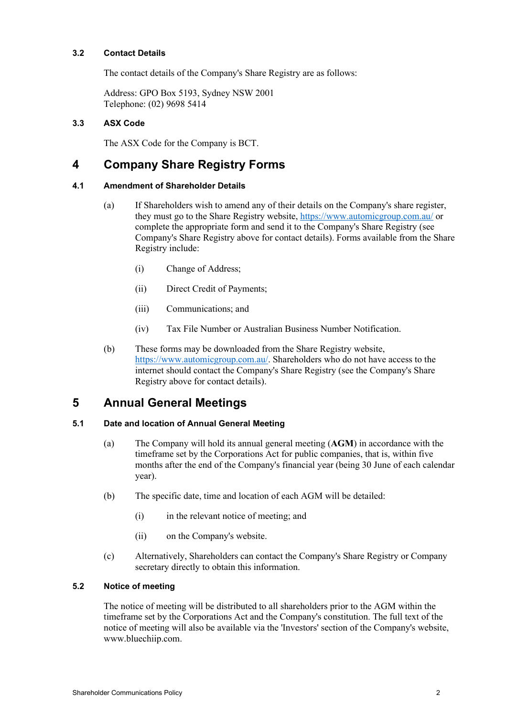### **3.2 Contact Details**

The contact details of the Company's Share Registry are as follows:

Address: GPO Box 5193, Sydney NSW 2001 Telephone: (02) 9698 5414

### **3.3 ASX Code**

The ASX Code for the Company is BCT.

# **4 Company Share Registry Forms**

### **4.1 Amendment of Shareholder Details**

- (a) If Shareholders wish to amend any of their details on the Company's share register, they must go to the Share Registry website[, https://www.automicgroup.com.au/](https://www.automicgroup.com.au/) or complete the appropriate form and send it to the Company's Share Registry (see Company's Share Registry above for contact details). Forms available from the Share Registry include:
	- (i) Change of Address;
	- (ii) Direct Credit of Payments;
	- (iii) Communications; and
	- (iv) Tax File Number or Australian Business Number Notification.
- (b) These forms may be downloaded from the Share Registry website, [https://www.automicgroup.com.au/.](https://www.automicgroup.com.au/) Shareholders who do not have access to the internet should contact the Company's Share Registry (see the Company's Share Registry above for contact details).

# **5 Annual General Meetings**

### **5.1 Date and location of Annual General Meeting**

- (a) The Company will hold its annual general meeting (**AGM**) in accordance with the timeframe set by the Corporations Act for public companies, that is, within five months after the end of the Company's financial year (being 30 June of each calendar year).
- (b) The specific date, time and location of each AGM will be detailed:
	- (i) in the relevant notice of meeting; and
	- (ii) on the Company's website.
- (c) Alternatively, Shareholders can contact the Company's Share Registry or Company secretary directly to obtain this information.

### **5.2 Notice of meeting**

The notice of meeting will be distributed to all shareholders prior to the AGM within the timeframe set by the Corporations Act and the Company's constitution. The full text of the notice of meeting will also be available via the 'Investors' section of the Company's website, www.bluechiip.com.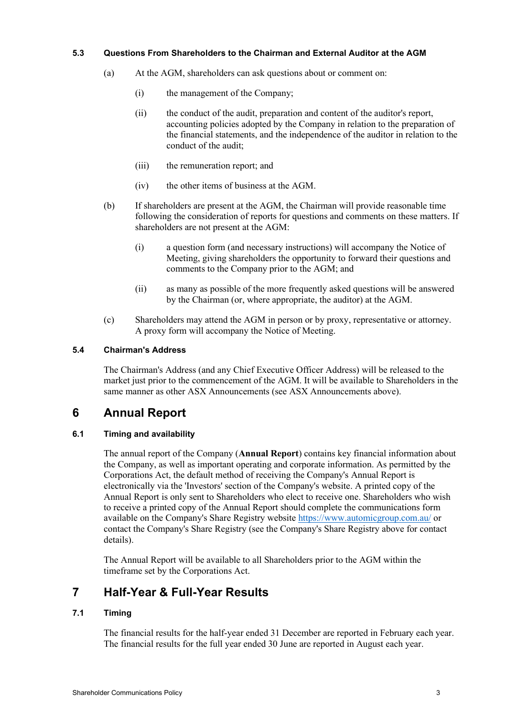### **5.3 Questions From Shareholders to the Chairman and External Auditor at the AGM**

- (a) At the AGM, shareholders can ask questions about or comment on:
	- (i) the management of the Company;
	- (ii) the conduct of the audit, preparation and content of the auditor's report, accounting policies adopted by the Company in relation to the preparation of the financial statements, and the independence of the auditor in relation to the conduct of the audit;
	- (iii) the remuneration report; and
	- (iv) the other items of business at the AGM.
- (b) If shareholders are present at the AGM, the Chairman will provide reasonable time following the consideration of reports for questions and comments on these matters. If shareholders are not present at the AGM:
	- (i) a question form (and necessary instructions) will accompany the Notice of Meeting, giving shareholders the opportunity to forward their questions and comments to the Company prior to the AGM; and
	- (ii) as many as possible of the more frequently asked questions will be answered by the Chairman (or, where appropriate, the auditor) at the AGM.
- (c) Shareholders may attend the AGM in person or by proxy, representative or attorney. A proxy form will accompany the Notice of Meeting.

### **5.4 Chairman's Address**

The Chairman's Address (and any Chief Executive Officer Address) will be released to the market just prior to the commencement of the AGM. It will be available to Shareholders in the same manner as other ASX Announcements (see ASX Announcements above).

# **6 Annual Report**

### **6.1 Timing and availability**

The annual report of the Company (**Annual Report**) contains key financial information about the Company, as well as important operating and corporate information. As permitted by the Corporations Act, the default method of receiving the Company's Annual Report is electronically via the 'Investors' section of the Company's website. A printed copy of the Annual Report is only sent to Shareholders who elect to receive one. Shareholders who wish to receive a printed copy of the Annual Report should complete the communications form available on the Company's Share Registry website<https://www.automicgroup.com.au/> or contact the Company's Share Registry (see the Company's Share Registry above for contact details).

The Annual Report will be available to all Shareholders prior to the AGM within the timeframe set by the Corporations Act.

# **7 Half-Year & Full-Year Results**

### **7.1 Timing**

The financial results for the half-year ended 31 December are reported in February each year. The financial results for the full year ended 30 June are reported in August each year.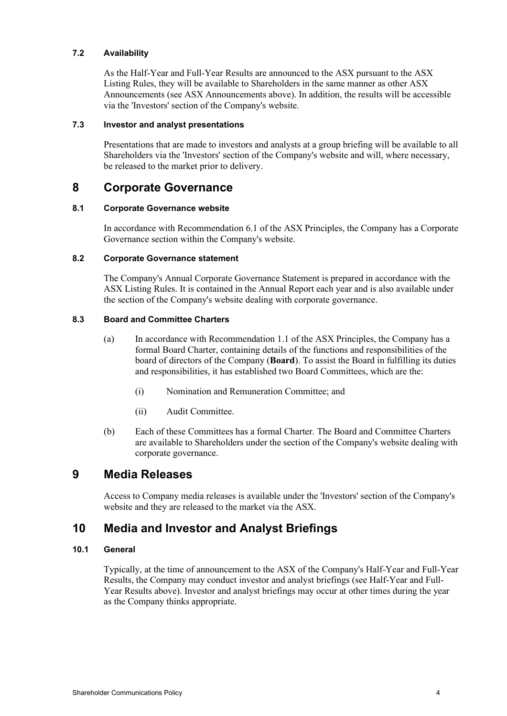### **7.2 Availability**

As the Half-Year and Full-Year Results are announced to the ASX pursuant to the ASX Listing Rules, they will be available to Shareholders in the same manner as other ASX Announcements (see ASX Announcements above). In addition, the results will be accessible via the 'Investors' section of the Company's website.

### **7.3 Investor and analyst presentations**

Presentations that are made to investors and analysts at a group briefing will be available to all Shareholders via the 'Investors' section of the Company's website and will, where necessary, be released to the market prior to delivery.

### **8 Corporate Governance**

### **8.1 Corporate Governance website**

In accordance with Recommendation 6.1 of the ASX Principles, the Company has a Corporate Governance section within the Company's website.

#### **8.2 Corporate Governance statement**

The Company's Annual Corporate Governance Statement is prepared in accordance with the ASX Listing Rules. It is contained in the Annual Report each year and is also available under the section of the Company's website dealing with corporate governance.

### **8.3 Board and Committee Charters**

- (a) In accordance with Recommendation 1.1 of the ASX Principles, the Company has a formal Board Charter, containing details of the functions and responsibilities of the board of directors of the Company (**Board**). To assist the Board in fulfilling its duties and responsibilities, it has established two Board Committees, which are the:
	- (i) Nomination and Remuneration Committee; and
	- (ii) Audit Committee.
- (b) Each of these Committees has a formal Charter. The Board and Committee Charters are available to Shareholders under the section of the Company's website dealing with corporate governance.

### **9 Media Releases**

Access to Company media releases is available under the 'Investors' section of the Company's website and they are released to the market via the ASX.

### **10 Media and Investor and Analyst Briefings**

### **10.1 General**

Typically, at the time of announcement to the ASX of the Company's Half-Year and Full-Year Results, the Company may conduct investor and analyst briefings (see Half-Year and Full-Year Results above). Investor and analyst briefings may occur at other times during the year as the Company thinks appropriate.